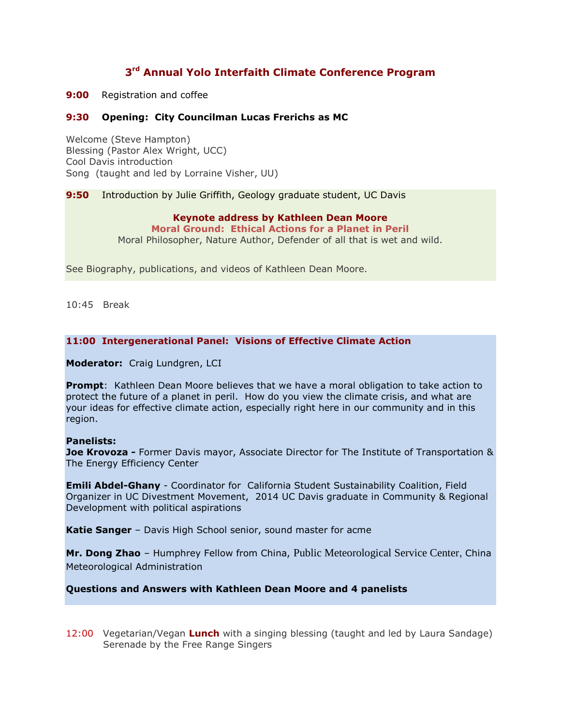# **3 rd Annual Yolo Interfaith Climate Conference Program**

**9:00** Registration and coffee

## **9:30 Opening: City Councilman Lucas Frerichs as MC**

Welcome (Steve Hampton) Blessing (Pastor Alex Wright, UCC) Cool Davis introduction Song (taught and led by Lorraine Visher, UU)

**9:50** Introduction by Julie Griffith, Geology graduate student, UC Davis

#### **Keynote address by Kathleen Dean Moore**

**Moral Ground: Ethical Actions for a Planet in Peril** Moral Philosopher, Nature Author, Defender of all that is wet and wild.

See Biography, publications, and videos of Kathleen Dean Moore.

10:45 Break

## **11:00 Intergenerational Panel: Visions of Effective Climate Action**

**Moderator:** Craig Lundgren, LCI

**Prompt**: Kathleen Dean Moore believes that we have a moral obligation to take action to protect the future of a planet in peril. How do you view the climate crisis, and what are your ideas for effective climate action, especially right here in our community and in this region.

#### **Panelists:**

**Joe Krovoza -** Former Davis mayor, Associate Director for The Institute of Transportation & The Energy Efficiency Center

**Emili Abdel-Ghany** - Coordinator for California Student Sustainability Coalition, Field Organizer in UC Divestment Movement, 2014 UC Davis graduate in Community & Regional Development with political aspirations

**Katie Sanger** – Davis High School senior, sound master for acme

**Mr. Dong Zhao** – Humphrey Fellow from China, Public Meteorological Service Center, China Meteorological Administration

## **Questions and Answers with Kathleen Dean Moore and 4 panelists**

12:00 Vegetarian/Vegan **Lunch** with a singing blessing (taught and led by Laura Sandage) Serenade by the Free Range Singers